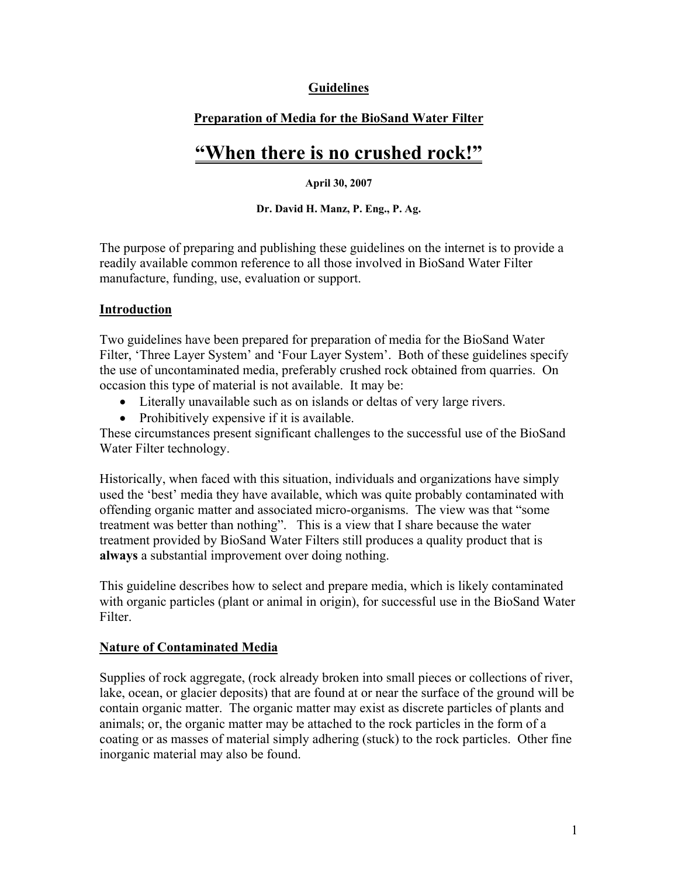# **Guidelines**

# **Preparation of Media for the BioSand Water Filter**

# **"When there is no crushed rock!"**

#### **April 30, 2007**

**Dr. David H. Manz, P. Eng., P. Ag.** 

The purpose of preparing and publishing these guidelines on the internet is to provide a readily available common reference to all those involved in BioSand Water Filter manufacture, funding, use, evaluation or support.

#### **Introduction**

Two guidelines have been prepared for preparation of media for the BioSand Water Filter, 'Three Layer System' and 'Four Layer System'. Both of these guidelines specify the use of uncontaminated media, preferably crushed rock obtained from quarries. On occasion this type of material is not available. It may be:

- Literally unavailable such as on islands or deltas of very large rivers.
- Prohibitively expensive if it is available.

These circumstances present significant challenges to the successful use of the BioSand Water Filter technology.

Historically, when faced with this situation, individuals and organizations have simply used the 'best' media they have available, which was quite probably contaminated with offending organic matter and associated micro-organisms. The view was that "some treatment was better than nothing". This is a view that I share because the water treatment provided by BioSand Water Filters still produces a quality product that is **always** a substantial improvement over doing nothing.

This guideline describes how to select and prepare media, which is likely contaminated with organic particles (plant or animal in origin), for successful use in the BioSand Water Filter.

### **Nature of Contaminated Media**

Supplies of rock aggregate, (rock already broken into small pieces or collections of river, lake, ocean, or glacier deposits) that are found at or near the surface of the ground will be contain organic matter. The organic matter may exist as discrete particles of plants and animals; or, the organic matter may be attached to the rock particles in the form of a coating or as masses of material simply adhering (stuck) to the rock particles. Other fine inorganic material may also be found.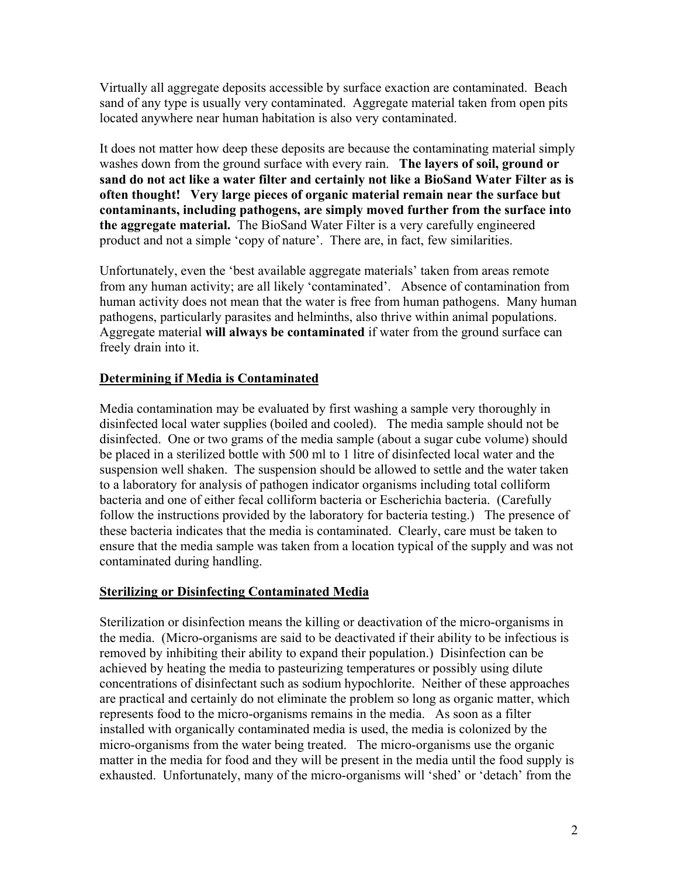Virtually all aggregate deposits accessible by surface exaction are contaminated. Beach sand of any type is usually very contaminated. Aggregate material taken from open pits located anywhere near human habitation is also very contaminated.

It does not matter how deep these deposits are because the contaminating material simply washes down from the ground surface with every rain. **The layers of soil, ground or sand do not act like a water filter and certainly not like a BioSand Water Filter as is often thought! Very large pieces of organic material remain near the surface but contaminants, including pathogens, are simply moved further from the surface into the aggregate material.** The BioSand Water Filter is a very carefully engineered product and not a simple 'copy of nature'. There are, in fact, few similarities.

Unfortunately, even the 'best available aggregate materials' taken from areas remote from any human activity; are all likely 'contaminated'. Absence of contamination from human activity does not mean that the water is free from human pathogens. Many human pathogens, particularly parasites and helminths, also thrive within animal populations. Aggregate material **will always be contaminated** if water from the ground surface can freely drain into it.

### **Determining if Media is Contaminated**

Media contamination may be evaluated by first washing a sample very thoroughly in disinfected local water supplies (boiled and cooled). The media sample should not be disinfected. One or two grams of the media sample (about a sugar cube volume) should be placed in a sterilized bottle with 500 ml to 1 litre of disinfected local water and the suspension well shaken. The suspension should be allowed to settle and the water taken to a laboratory for analysis of pathogen indicator organisms including total colliform bacteria and one of either fecal colliform bacteria or Escherichia bacteria. (Carefully follow the instructions provided by the laboratory for bacteria testing.) The presence of these bacteria indicates that the media is contaminated. Clearly, care must be taken to ensure that the media sample was taken from a location typical of the supply and was not contaminated during handling.

### **Sterilizing or Disinfecting Contaminated Media**

Sterilization or disinfection means the killing or deactivation of the micro-organisms in the media. (Micro-organisms are said to be deactivated if their ability to be infectious is removed by inhibiting their ability to expand their population.) Disinfection can be achieved by heating the media to pasteurizing temperatures or possibly using dilute concentrations of disinfectant such as sodium hypochlorite. Neither of these approaches are practical and certainly do not eliminate the problem so long as organic matter, which represents food to the micro-organisms remains in the media. As soon as a filter installed with organically contaminated media is used, the media is colonized by the micro-organisms from the water being treated. The micro-organisms use the organic matter in the media for food and they will be present in the media until the food supply is exhausted. Unfortunately, many of the micro-organisms will 'shed' or 'detach' from the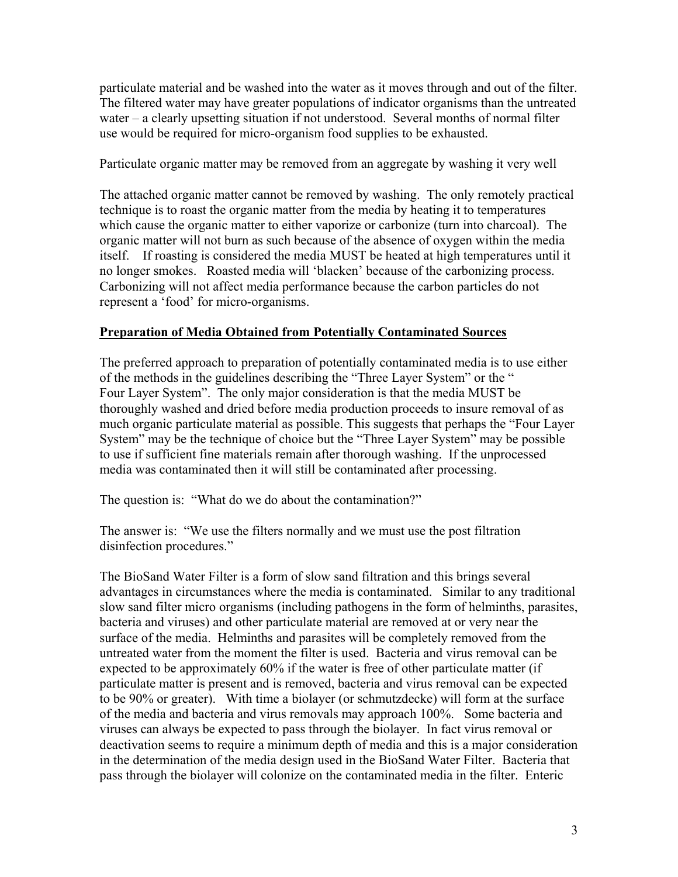particulate material and be washed into the water as it moves through and out of the filter. The filtered water may have greater populations of indicator organisms than the untreated water – a clearly upsetting situation if not understood. Several months of normal filter use would be required for micro-organism food supplies to be exhausted.

Particulate organic matter may be removed from an aggregate by washing it very well

The attached organic matter cannot be removed by washing. The only remotely practical technique is to roast the organic matter from the media by heating it to temperatures which cause the organic matter to either vaporize or carbonize (turn into charcoal). The organic matter will not burn as such because of the absence of oxygen within the media itself. If roasting is considered the media MUST be heated at high temperatures until it no longer smokes. Roasted media will 'blacken' because of the carbonizing process. Carbonizing will not affect media performance because the carbon particles do not represent a 'food' for micro-organisms.

### **Preparation of Media Obtained from Potentially Contaminated Sources**

The preferred approach to preparation of potentially contaminated media is to use either of the methods in the guidelines describing the "Three Layer System" or the " Four Layer System". The only major consideration is that the media MUST be thoroughly washed and dried before media production proceeds to insure removal of as much organic particulate material as possible. This suggests that perhaps the "Four Layer System" may be the technique of choice but the "Three Layer System" may be possible to use if sufficient fine materials remain after thorough washing. If the unprocessed media was contaminated then it will still be contaminated after processing.

The question is: "What do we do about the contamination?"

The answer is: "We use the filters normally and we must use the post filtration disinfection procedures."

The BioSand Water Filter is a form of slow sand filtration and this brings several advantages in circumstances where the media is contaminated. Similar to any traditional slow sand filter micro organisms (including pathogens in the form of helminths, parasites, bacteria and viruses) and other particulate material are removed at or very near the surface of the media. Helminths and parasites will be completely removed from the untreated water from the moment the filter is used. Bacteria and virus removal can be expected to be approximately 60% if the water is free of other particulate matter (if particulate matter is present and is removed, bacteria and virus removal can be expected to be 90% or greater). With time a biolayer (or schmutzdecke) will form at the surface of the media and bacteria and virus removals may approach 100%. Some bacteria and viruses can always be expected to pass through the biolayer. In fact virus removal or deactivation seems to require a minimum depth of media and this is a major consideration in the determination of the media design used in the BioSand Water Filter. Bacteria that pass through the biolayer will colonize on the contaminated media in the filter. Enteric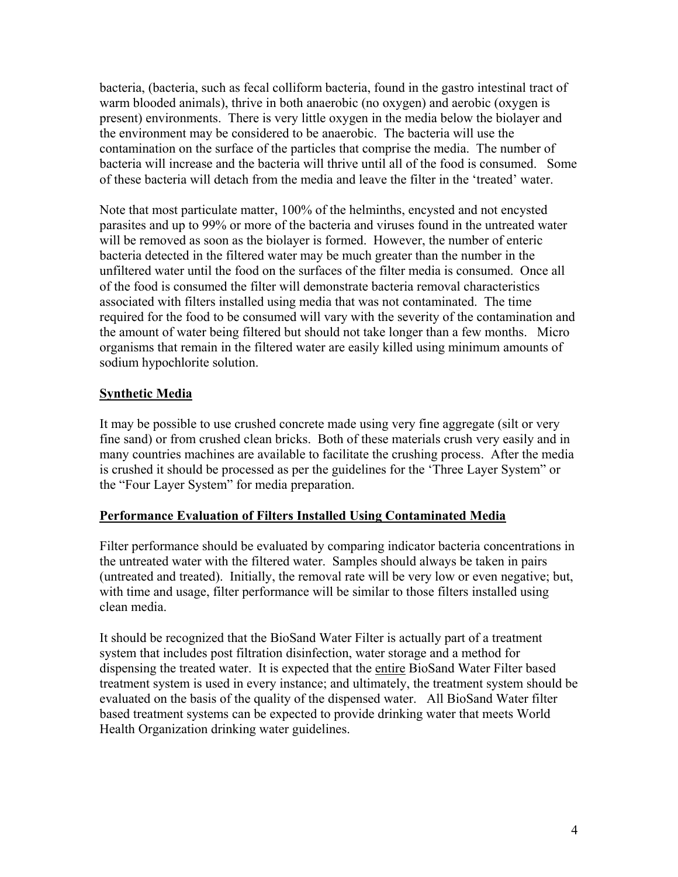bacteria, (bacteria, such as fecal colliform bacteria, found in the gastro intestinal tract of warm blooded animals), thrive in both anaerobic (no oxygen) and aerobic (oxygen is present) environments. There is very little oxygen in the media below the biolayer and the environment may be considered to be anaerobic. The bacteria will use the contamination on the surface of the particles that comprise the media. The number of bacteria will increase and the bacteria will thrive until all of the food is consumed. Some of these bacteria will detach from the media and leave the filter in the 'treated' water.

Note that most particulate matter, 100% of the helminths, encysted and not encysted parasites and up to 99% or more of the bacteria and viruses found in the untreated water will be removed as soon as the biolayer is formed. However, the number of enteric bacteria detected in the filtered water may be much greater than the number in the unfiltered water until the food on the surfaces of the filter media is consumed. Once all of the food is consumed the filter will demonstrate bacteria removal characteristics associated with filters installed using media that was not contaminated. The time required for the food to be consumed will vary with the severity of the contamination and the amount of water being filtered but should not take longer than a few months. Micro organisms that remain in the filtered water are easily killed using minimum amounts of sodium hypochlorite solution.

## **Synthetic Media**

It may be possible to use crushed concrete made using very fine aggregate (silt or very fine sand) or from crushed clean bricks. Both of these materials crush very easily and in many countries machines are available to facilitate the crushing process. After the media is crushed it should be processed as per the guidelines for the 'Three Layer System" or the "Four Layer System" for media preparation.

### **Performance Evaluation of Filters Installed Using Contaminated Media**

Filter performance should be evaluated by comparing indicator bacteria concentrations in the untreated water with the filtered water. Samples should always be taken in pairs (untreated and treated). Initially, the removal rate will be very low or even negative; but, with time and usage, filter performance will be similar to those filters installed using clean media.

It should be recognized that the BioSand Water Filter is actually part of a treatment system that includes post filtration disinfection, water storage and a method for dispensing the treated water. It is expected that the entire BioSand Water Filter based treatment system is used in every instance; and ultimately, the treatment system should be evaluated on the basis of the quality of the dispensed water. All BioSand Water filter based treatment systems can be expected to provide drinking water that meets World Health Organization drinking water guidelines.